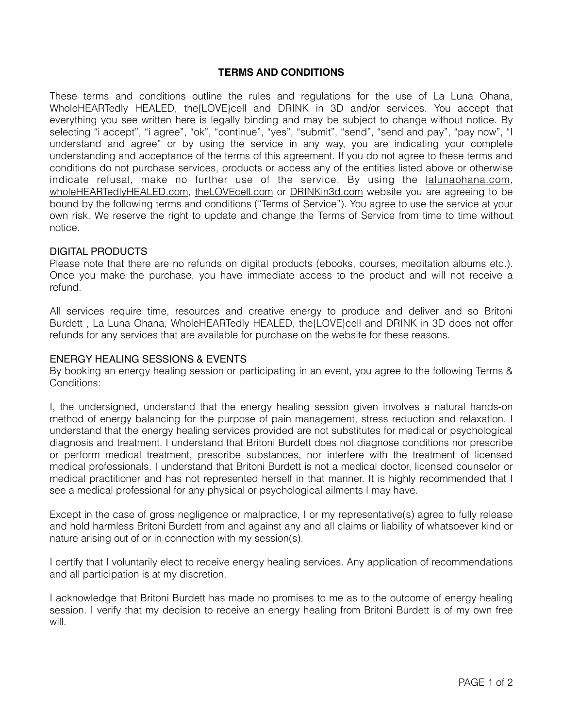# **TERMS AND CONDITIONS**

These terms and conditions outline the rules and regulations for the use of La Luna Ohana, WholeHEARTedly HEALED, the{LOVE}cell and DRINK in 3D and/or services. You accept that everything you see written here is legally binding and may be subject to change without notice. By selecting "i accept", "i agree", "ok", "continue", "yes", "submit", "send", "send and pay", "pay now", "I understand and agree" or by using the service in any way, you are indicating your complete understanding and acceptance of the terms of this agreement. If you do not agree to these terms and conditions do not purchase services, products or access any of the entities listed above or otherwise indicate refusal, make no further use of the service. By using the *lalunaohana.com*, [wholeHEARTedlyHEALED.com,](http://wholeHEARTedlyHEALED.com) [theLOVEcell.com](http://theLOVEcell.com) or [DRINKin3d.com](http://DRINKin3d.com) website you are agreeing to be bound by the following terms and conditions ("Terms of Service"). You agree to use the service at your own risk. We reserve the right to update and change the Terms of Service from time to time without notice.

### DIGITAL PRODUCTS

Please note that there are no refunds on digital products (ebooks, courses, meditation albums etc.). Once you make the purchase, you have immediate access to the product and will not receive a refund.

All services require time, resources and creative energy to produce and deliver and so Britoni Burdett , La Luna Ohana, WholeHEARTedly HEALED, the{LOVE}cell and DRINK in 3D does not offer refunds for any services that are available for purchase on the website for these reasons.

## ENERGY HEALING SESSIONS & EVENTS

By booking an energy healing session or participating in an event, you agree to the following Terms & Conditions:

I, the undersigned, understand that the energy healing session given involves a natural hands-on method of energy balancing for the purpose of pain management, stress reduction and relaxation. I understand that the energy healing services provided are not substitutes for medical or psychological diagnosis and treatment. I understand that Britoni Burdett does not diagnose conditions nor prescribe or perform medical treatment, prescribe substances, nor interfere with the treatment of licensed medical professionals. I understand that Britoni Burdett is not a medical doctor, licensed counselor or medical practitioner and has not represented herself in that manner. It is highly recommended that I see a medical professional for any physical or psychological ailments I may have.

Except in the case of gross negligence or malpractice, I or my representative(s) agree to fully release and hold harmless Britoni Burdett from and against any and all claims or liability of whatsoever kind or nature arising out of or in connection with my session(s).

I certify that I voluntarily elect to receive energy healing services. Any application of recommendations and all participation is at my discretion.

I acknowledge that Britoni Burdett has made no promises to me as to the outcome of energy healing session. I verify that my decision to receive an energy healing from Britoni Burdett is of my own free will.